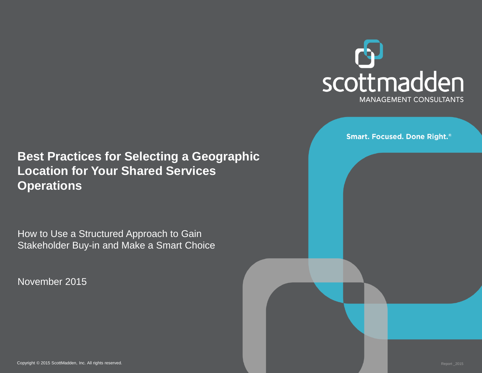

**Smart. Focused. Done Right.**®

#### **Best Practices for Selecting a Geographic Location for Your Shared Services Operations**

How to Use a Structured Approach to Gain Stakeholder Buy-in and Make a Smart Choice

November 2015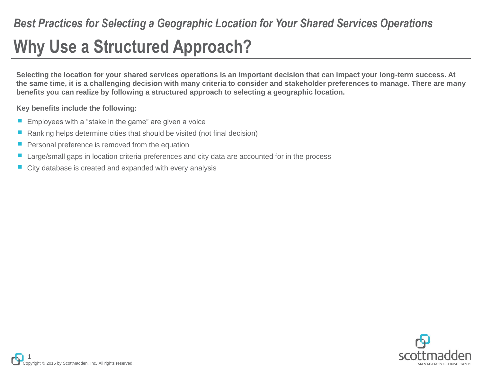# **Why Use a Structured Approach?**

**Selecting the location for your shared services operations is an important decision that can impact your long-term success. At the same time, it is a challenging decision with many criteria to consider and stakeholder preferences to manage. There are many benefits you can realize by following a structured approach to selecting a geographic location.**

**Key benefits include the following:**

- Employees with a "stake in the game" are given a voice
- Ranking helps determine cities that should be visited (not final decision)
- Personal preference is removed from the equation
- Large/small gaps in location criteria preferences and city data are accounted for in the process
- City database is created and expanded with every analysis

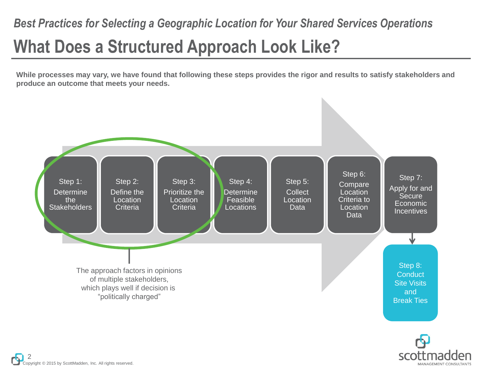# **What Does a Structured Approach Look Like?** *Best Practices for Selecting a Geographic Location for Your Shared Services Operations*

**While processes may vary, we have found that following these steps provides the rigor and results to satisfy stakeholders and produce an outcome that meets your needs.**



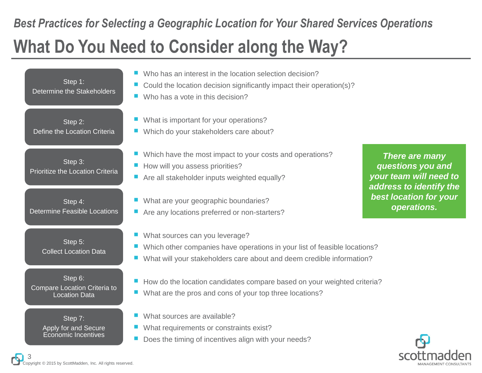## **What Do You Need to Consider along the Way?** *Best Practices for Selecting a Geographic Location for Your Shared Services Operations*

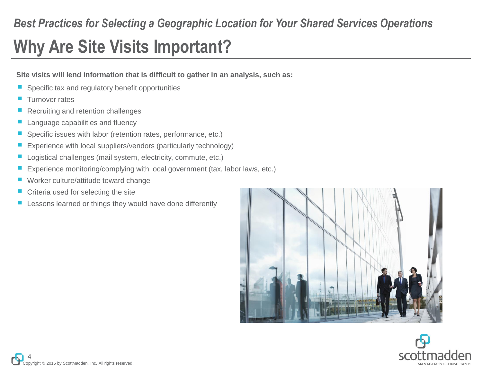### *Best Practices for Selecting a Geographic Location for Your Shared Services Operations*

# **Why Are Site Visits Important?**

**Site visits will lend information that is difficult to gather in an analysis, such as:**

- Specific tax and regulatory benefit opportunities
- Turnover rates
- Recruiting and retention challenges
- Language capabilities and fluency
- Specific issues with labor (retention rates, performance, etc.)
- Experience with local suppliers/vendors (particularly technology)
- Logistical challenges (mail system, electricity, commute, etc.)
- Experience monitoring/complying with local government (tax, labor laws, etc.)
- Worker culture/attitude toward change
- Criteria used for selecting the site
- Lessons learned or things they would have done differently